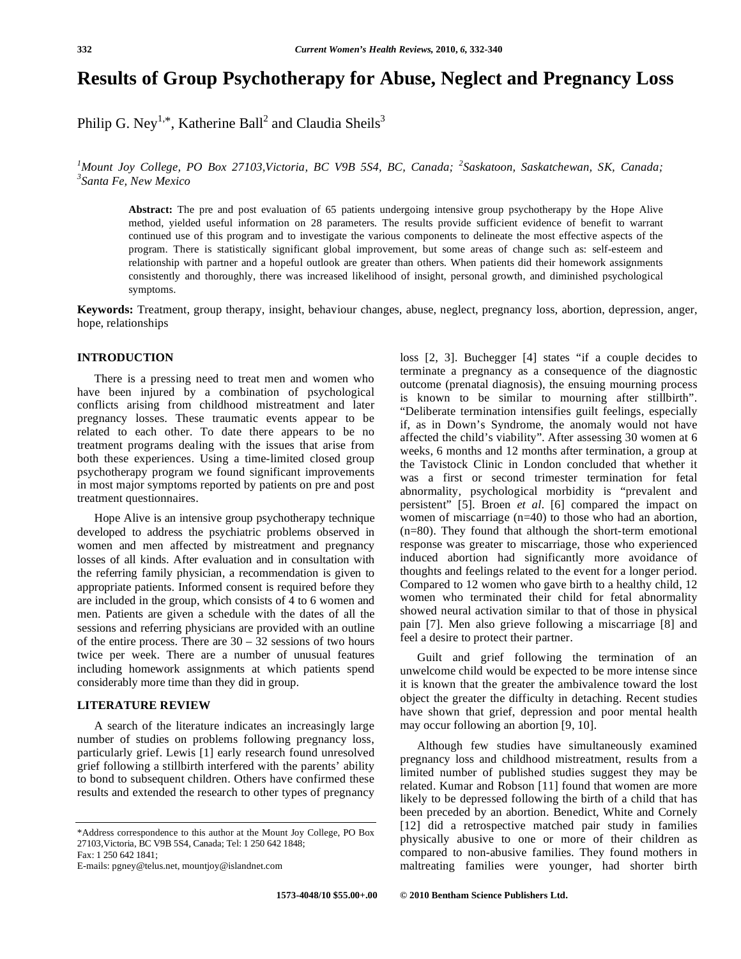# **Results of Group Psychotherapy for Abuse, Neglect and Pregnancy Loss**

Philip G. Ney<sup>1,\*</sup>, Katherine Ball<sup>2</sup> and Claudia Sheils<sup>3</sup>

<sup>1</sup>Mount Joy College, PO Box 27103, Victoria, BC V9B 5S4, BC, Canada; <sup>2</sup>Saskatoon, Saskatchewan, SK, Canada; <sup>3</sup>Sasta *Santa Fe, New Mexico* 

**Abstract:** The pre and post evaluation of 65 patients undergoing intensive group psychotherapy by the Hope Alive method, yielded useful information on 28 parameters. The results provide sufficient evidence of benefit to warrant continued use of this program and to investigate the various components to delineate the most effective aspects of the program. There is statistically significant global improvement, but some areas of change such as: self-esteem and relationship with partner and a hopeful outlook are greater than others. When patients did their homework assignments consistently and thoroughly, there was increased likelihood of insight, personal growth, and diminished psychological symptoms.

**Keywords:** Treatment, group therapy, insight, behaviour changes, abuse, neglect, pregnancy loss, abortion, depression, anger, hope, relationships

## **INTRODUCTION**

 There is a pressing need to treat men and women who have been injured by a combination of psychological conflicts arising from childhood mistreatment and later pregnancy losses. These traumatic events appear to be related to each other. To date there appears to be no treatment programs dealing with the issues that arise from both these experiences. Using a time-limited closed group psychotherapy program we found significant improvements in most major symptoms reported by patients on pre and post treatment questionnaires.

 Hope Alive is an intensive group psychotherapy technique developed to address the psychiatric problems observed in women and men affected by mistreatment and pregnancy losses of all kinds. After evaluation and in consultation with the referring family physician, a recommendation is given to appropriate patients. Informed consent is required before they are included in the group, which consists of 4 to 6 women and men. Patients are given a schedule with the dates of all the sessions and referring physicians are provided with an outline of the entire process. There are  $30 - 32$  sessions of two hours twice per week. There are a number of unusual features including homework assignments at which patients spend considerably more time than they did in group.

## **LITERATURE REVIEW**

 A search of the literature indicates an increasingly large number of studies on problems following pregnancy loss, particularly grief. Lewis [1] early research found unresolved grief following a stillbirth interfered with the parents' ability to bond to subsequent children. Others have confirmed these results and extended the research to other types of pregnancy

E-mails: pgney@telus.net, mountjoy@islandnet.com

loss [2, 3]. Buchegger [4] states "if a couple decides to terminate a pregnancy as a consequence of the diagnostic outcome (prenatal diagnosis), the ensuing mourning process is known to be similar to mourning after stillbirth". "Deliberate termination intensifies guilt feelings, especially if, as in Down's Syndrome, the anomaly would not have affected the child's viability". After assessing 30 women at 6 weeks, 6 months and 12 months after termination, a group at the Tavistock Clinic in London concluded that whether it was a first or second trimester termination for fetal abnormality, psychological morbidity is "prevalent and persistent" [5]. Broen *et al*. [6] compared the impact on women of miscarriage (n=40) to those who had an abortion, (n=80). They found that although the short-term emotional response was greater to miscarriage, those who experienced induced abortion had significantly more avoidance of thoughts and feelings related to the event for a longer period. Compared to 12 women who gave birth to a healthy child, 12 women who terminated their child for fetal abnormality showed neural activation similar to that of those in physical pain [7]. Men also grieve following a miscarriage [8] and feel a desire to protect their partner.

 Guilt and grief following the termination of an unwelcome child would be expected to be more intense since it is known that the greater the ambivalence toward the lost object the greater the difficulty in detaching. Recent studies have shown that grief, depression and poor mental health may occur following an abortion [9, 10].

 Although few studies have simultaneously examined pregnancy loss and childhood mistreatment, results from a limited number of published studies suggest they may be related. Kumar and Robson [11] found that women are more likely to be depressed following the birth of a child that has been preceded by an abortion. Benedict, White and Cornely [12] did a retrospective matched pair study in families physically abusive to one or more of their children as compared to non-abusive families. They found mothers in maltreating families were younger, had shorter birth

<sup>\*</sup>Address correspondence to this author at the Mount Joy College, PO Box 27103,Victoria, BC V9B 5S4, Canada; Tel: 1 250 642 1848; Fax: 1 250 642 1841;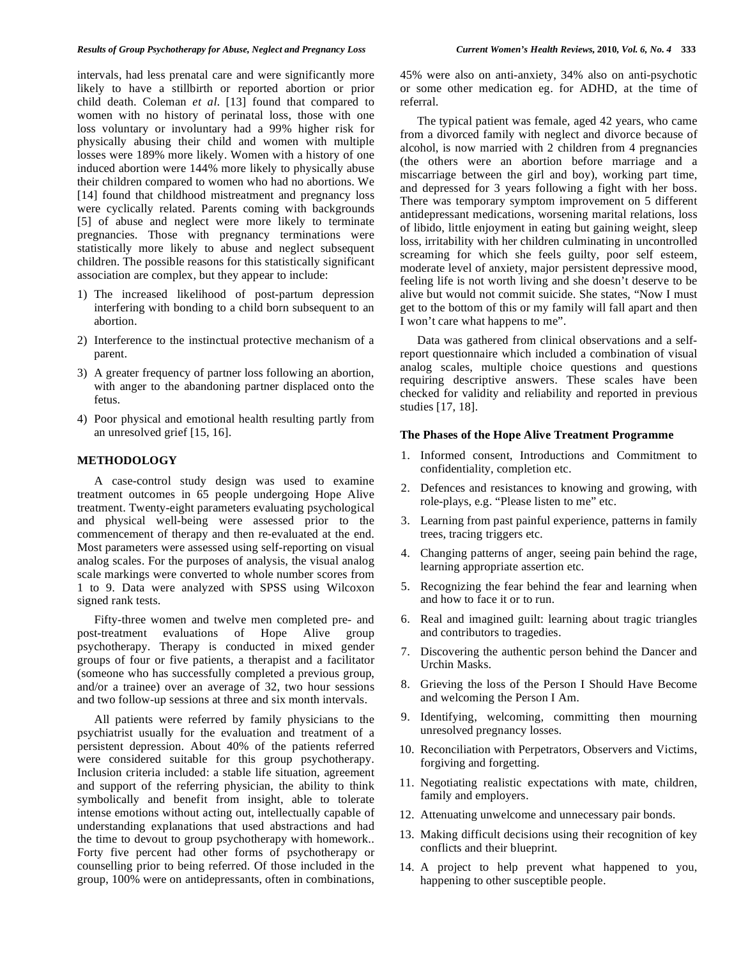intervals, had less prenatal care and were significantly more likely to have a stillbirth or reported abortion or prior child death. Coleman *et al*. [13] found that compared to women with no history of perinatal loss, those with one loss voluntary or involuntary had a 99% higher risk for physically abusing their child and women with multiple losses were 189% more likely. Women with a history of one induced abortion were 144% more likely to physically abuse their children compared to women who had no abortions. We [14] found that childhood mistreatment and pregnancy loss were cyclically related. Parents coming with backgrounds [5] of abuse and neglect were more likely to terminate pregnancies. Those with pregnancy terminations were statistically more likely to abuse and neglect subsequent children. The possible reasons for this statistically significant association are complex, but they appear to include:

- 1) The increased likelihood of post-partum depression interfering with bonding to a child born subsequent to an abortion.
- 2) Interference to the instinctual protective mechanism of a parent.
- 3) A greater frequency of partner loss following an abortion, with anger to the abandoning partner displaced onto the fetus.
- 4) Poor physical and emotional health resulting partly from an unresolved grief [15, 16].

# **METHODOLOGY**

 A case-control study design was used to examine treatment outcomes in 65 people undergoing Hope Alive treatment. Twenty-eight parameters evaluating psychological and physical well-being were assessed prior to the commencement of therapy and then re-evaluated at the end. Most parameters were assessed using self-reporting on visual analog scales. For the purposes of analysis, the visual analog scale markings were converted to whole number scores from 1 to 9. Data were analyzed with SPSS using Wilcoxon signed rank tests.

 Fifty-three women and twelve men completed pre- and post-treatment evaluations of Hope Alive group psychotherapy. Therapy is conducted in mixed gender groups of four or five patients, a therapist and a facilitator (someone who has successfully completed a previous group, and/or a trainee) over an average of 32, two hour sessions and two follow-up sessions at three and six month intervals.

 All patients were referred by family physicians to the psychiatrist usually for the evaluation and treatment of a persistent depression. About 40% of the patients referred were considered suitable for this group psychotherapy. Inclusion criteria included: a stable life situation, agreement and support of the referring physician, the ability to think symbolically and benefit from insight, able to tolerate intense emotions without acting out, intellectually capable of understanding explanations that used abstractions and had the time to devout to group psychotherapy with homework.. Forty five percent had other forms of psychotherapy or counselling prior to being referred. Of those included in the group, 100% were on antidepressants, often in combinations,

45% were also on anti-anxiety, 34% also on anti-psychotic or some other medication eg. for ADHD, at the time of referral.

 The typical patient was female, aged 42 years, who came from a divorced family with neglect and divorce because of alcohol, is now married with 2 children from 4 pregnancies (the others were an abortion before marriage and a miscarriage between the girl and boy), working part time, and depressed for 3 years following a fight with her boss. There was temporary symptom improvement on 5 different antidepressant medications, worsening marital relations, loss of libido, little enjoyment in eating but gaining weight, sleep loss, irritability with her children culminating in uncontrolled screaming for which she feels guilty, poor self esteem, moderate level of anxiety, major persistent depressive mood, feeling life is not worth living and she doesn't deserve to be alive but would not commit suicide. She states, "Now I must get to the bottom of this or my family will fall apart and then I won't care what happens to me".

 Data was gathered from clinical observations and a selfreport questionnaire which included a combination of visual analog scales, multiple choice questions and questions requiring descriptive answers. These scales have been checked for validity and reliability and reported in previous studies [17, 18].

## **The Phases of the Hope Alive Treatment Programme**

- 1. Informed consent, Introductions and Commitment to confidentiality, completion etc.
- 2. Defences and resistances to knowing and growing, with role-plays, e.g. "Please listen to me" etc.
- 3. Learning from past painful experience, patterns in family trees, tracing triggers etc.
- 4. Changing patterns of anger, seeing pain behind the rage, learning appropriate assertion etc.
- 5. Recognizing the fear behind the fear and learning when and how to face it or to run.
- 6. Real and imagined guilt: learning about tragic triangles and contributors to tragedies.
- 7. Discovering the authentic person behind the Dancer and Urchin Masks.
- 8. Grieving the loss of the Person I Should Have Become and welcoming the Person I Am.
- 9. Identifying, welcoming, committing then mourning unresolved pregnancy losses.
- 10. Reconciliation with Perpetrators, Observers and Victims, forgiving and forgetting.
- 11. Negotiating realistic expectations with mate, children, family and employers.
- 12. Attenuating unwelcome and unnecessary pair bonds.
- 13. Making difficult decisions using their recognition of key conflicts and their blueprint.
- 14. A project to help prevent what happened to you, happening to other susceptible people.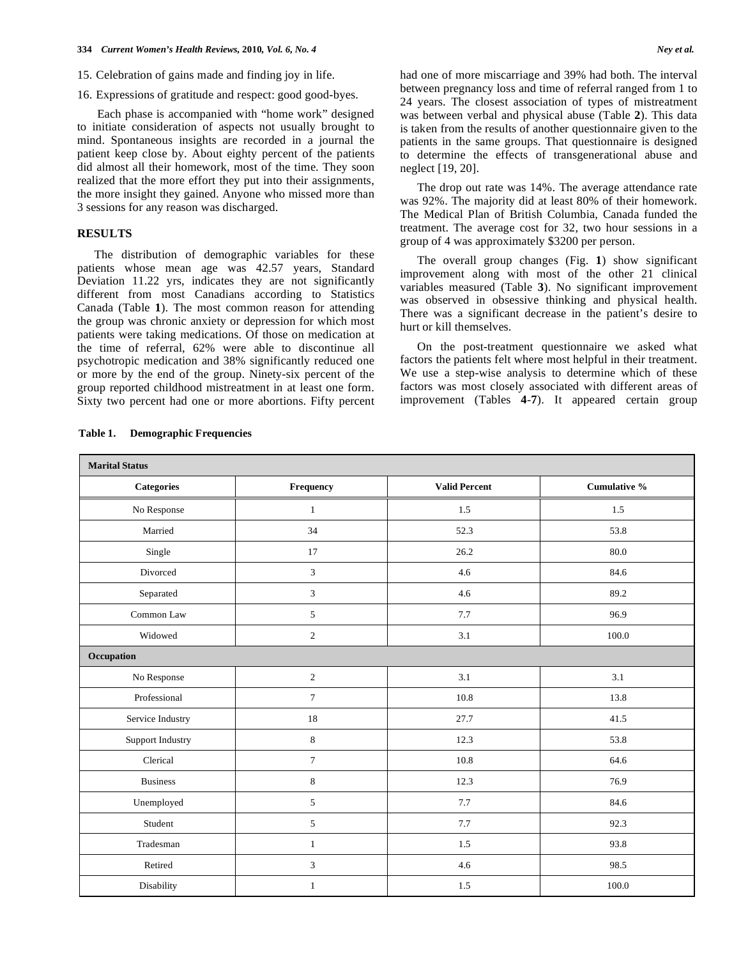#### **334**  *Current Women's Health Reviews, 2010, Vol. 6, No. 4 Ney et al. <i>Ney et al. Ney et al. Ney et al. Ney et al.*

- 15. Celebration of gains made and finding joy in life.
- 16. Expressions of gratitude and respect: good good-byes.

 Each phase is accompanied with "home work" designed to initiate consideration of aspects not usually brought to mind. Spontaneous insights are recorded in a journal the patient keep close by. About eighty percent of the patients did almost all their homework, most of the time. They soon realized that the more effort they put into their assignments, the more insight they gained. Anyone who missed more than 3 sessions for any reason was discharged.

# **RESULTS**

 The distribution of demographic variables for these patients whose mean age was 42.57 years, Standard Deviation 11.22 yrs, indicates they are not significantly different from most Canadians according to Statistics Canada (Table **1**). The most common reason for attending the group was chronic anxiety or depression for which most patients were taking medications. Of those on medication at the time of referral, 62% were able to discontinue all psychotropic medication and 38% significantly reduced one or more by the end of the group. Ninety-six percent of the group reported childhood mistreatment in at least one form. Sixty two percent had one or more abortions. Fifty percent

 The drop out rate was 14%. The average attendance rate was 92%. The majority did at least 80% of their homework. The Medical Plan of British Columbia, Canada funded the treatment. The average cost for 32, two hour sessions in a group of 4 was approximately \$3200 per person.

neglect [19, 20].

 The overall group changes (Fig. **1**) show significant improvement along with most of the other 21 clinical variables measured (Table **3**). No significant improvement was observed in obsessive thinking and physical health. There was a significant decrease in the patient's desire to hurt or kill themselves.

 On the post-treatment questionnaire we asked what factors the patients felt where most helpful in their treatment. We use a step-wise analysis to determine which of these factors was most closely associated with different areas of improvement (Tables **4**-**7**). It appeared certain group

| <b>Marital Status</b> |                  |                      |              |  |  |  |  |
|-----------------------|------------------|----------------------|--------------|--|--|--|--|
| <b>Categories</b>     | Frequency        | <b>Valid Percent</b> | Cumulative % |  |  |  |  |
| No Response           | $\mathbf{1}$     | 1.5                  | 1.5          |  |  |  |  |
| Married               | 34               | 52.3                 | 53.8         |  |  |  |  |
| Single                | 17               | 26.2                 | 80.0         |  |  |  |  |
| Divorced              | $\mathfrak{Z}$   | 4.6                  | 84.6         |  |  |  |  |
| Separated             | 3                | 4.6                  | 89.2         |  |  |  |  |
| Common Law            | 5                | 7.7                  | 96.9         |  |  |  |  |
| Widowed               | $\overline{c}$   | 3.1                  | 100.0        |  |  |  |  |
| Occupation            |                  |                      |              |  |  |  |  |
| No Response           | $\sqrt{2}$       | 3.1                  | 3.1          |  |  |  |  |
| Professional          | $\tau$           | 10.8                 | 13.8         |  |  |  |  |
| Service Industry      | 18               | 27.7                 | 41.5         |  |  |  |  |
| Support Industry      | $\,8\,$          | 12.3                 | 53.8         |  |  |  |  |
| Clerical              | $\boldsymbol{7}$ | 10.8                 | 64.6         |  |  |  |  |
| <b>Business</b>       | $\,8\,$          | 12.3                 | 76.9         |  |  |  |  |
| Unemployed            | 5                | 7.7                  | 84.6         |  |  |  |  |
| Student               | 5                | 7.7                  | 92.3         |  |  |  |  |
| Tradesman             | $\mathbf{1}$     | 1.5                  | 93.8         |  |  |  |  |
| Retired               | $\mathfrak{Z}$   | 4.6                  | 98.5         |  |  |  |  |
| Disability            | $\mathbf{1}$     | 1.5                  | 100.0        |  |  |  |  |

#### **Table 1. Demographic Frequencies**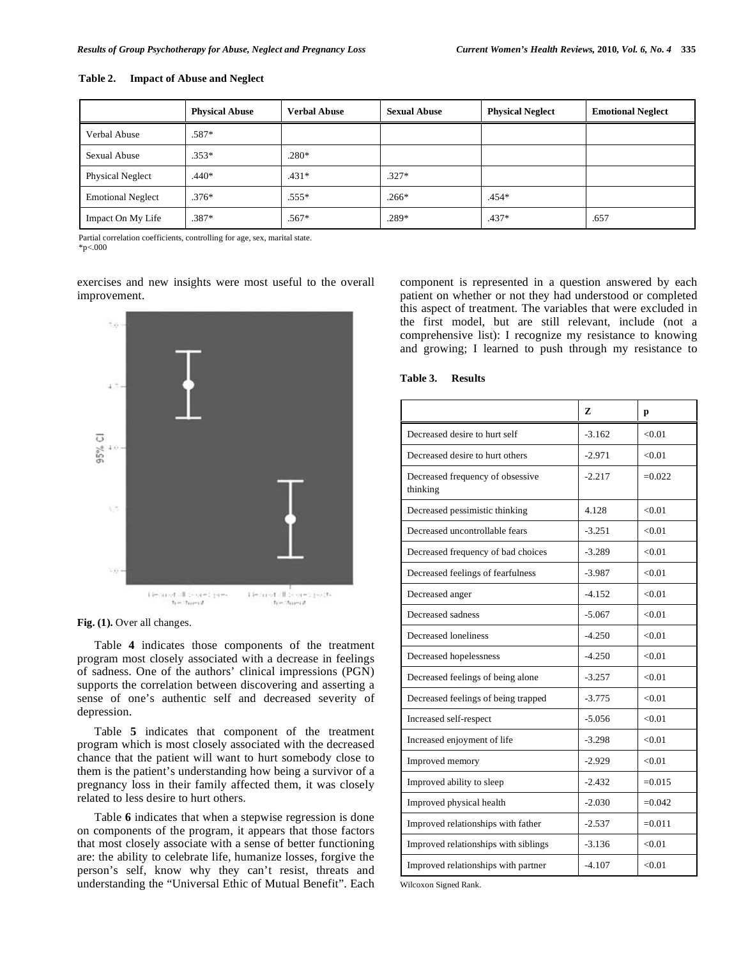| Table 2. |  |  | <b>Impact of Abuse and Neglect</b> |
|----------|--|--|------------------------------------|
|----------|--|--|------------------------------------|

|                          | <b>Physical Abuse</b> | <b>Verbal Abuse</b> | <b>Sexual Abuse</b> | <b>Physical Neglect</b> | <b>Emotional Neglect</b> |
|--------------------------|-----------------------|---------------------|---------------------|-------------------------|--------------------------|
| Verbal Abuse             | .587*                 |                     |                     |                         |                          |
| Sexual Abuse             | $.353*$               | $.280*$             |                     |                         |                          |
| <b>Physical Neglect</b>  | $.440*$               | $.431*$             | $.327*$             |                         |                          |
| <b>Emotional Neglect</b> | $.376*$               | $.555*$             | $.266*$             | $.454*$                 |                          |
| Impact On My Life        | $.387*$               | $.567*$             | .289*               | $.437*$                 | .657                     |

Partial correlation coefficients, controlling for age, sex, marital state. \*p<.000

exercises and new insights were most useful to the overall improvement.



Fig. (1). Over all changes.

 Table **4** indicates those components of the treatment program most closely associated with a decrease in feelings of sadness. One of the authors' clinical impressions (PGN) supports the correlation between discovering and asserting a sense of one's authentic self and decreased severity of depression.

 Table **5** indicates that component of the treatment program which is most closely associated with the decreased chance that the patient will want to hurt somebody close to them is the patient's understanding how being a survivor of a pregnancy loss in their family affected them, it was closely related to less desire to hurt others.

 Table **6** indicates that when a stepwise regression is done on components of the program, it appears that those factors that most closely associate with a sense of better functioning are: the ability to celebrate life, humanize losses, forgive the person's self, know why they can't resist, threats and understanding the "Universal Ethic of Mutual Benefit". Each component is represented in a question answered by each patient on whether or not they had understood or completed this aspect of treatment. The variables that were excluded in the first model, but are still relevant, include (not a comprehensive list): I recognize my resistance to knowing and growing; I learned to push through my resistance to

|                                              | Z        | p         |
|----------------------------------------------|----------|-----------|
| Decreased desire to hurt self                | $-3.162$ | < 0.01    |
| Decreased desire to hurt others              | $-2.971$ | < 0.01    |
| Decreased frequency of obsessive<br>thinking | $-2.217$ | $= 0.022$ |
| Decreased pessimistic thinking               | 4.128    | <0.01     |
| Decreased uncontrollable fears               | $-3.251$ | < 0.01    |
| Decreased frequency of bad choices           | $-3.289$ | < 0.01    |
| Decreased feelings of fearfulness            | -3.987   | < 0.01    |
| Decreased anger                              | $-4.152$ | < 0.01    |
| Decreased sadness                            | $-5.067$ | < 0.01    |
| Decreased loneliness                         | $-4.250$ | < 0.01    |
| Decreased hopelessness                       | $-4.250$ | < 0.01    |
| Decreased feelings of being alone            | $-3.257$ | < 0.01    |
| Decreased feelings of being trapped          | $-3.775$ | < 0.01    |
| Increased self-respect                       | $-5.056$ | < 0.01    |
| Increased enjoyment of life                  | $-3.298$ | < 0.01    |
| Improved memory                              | $-2.929$ | < 0.01    |
| Improved ability to sleep                    | $-2.432$ | $=0.015$  |
| Improved physical health                     | $-2.030$ | $=0.042$  |
| Improved relationships with father           | $-2.537$ | $=0.011$  |
| Improved relationships with siblings         | $-3.136$ | < 0.01    |
| Improved relationships with partner          | $-4.107$ | < 0.01    |

**Table 3. Results** 

Wilcoxon Signed Rank.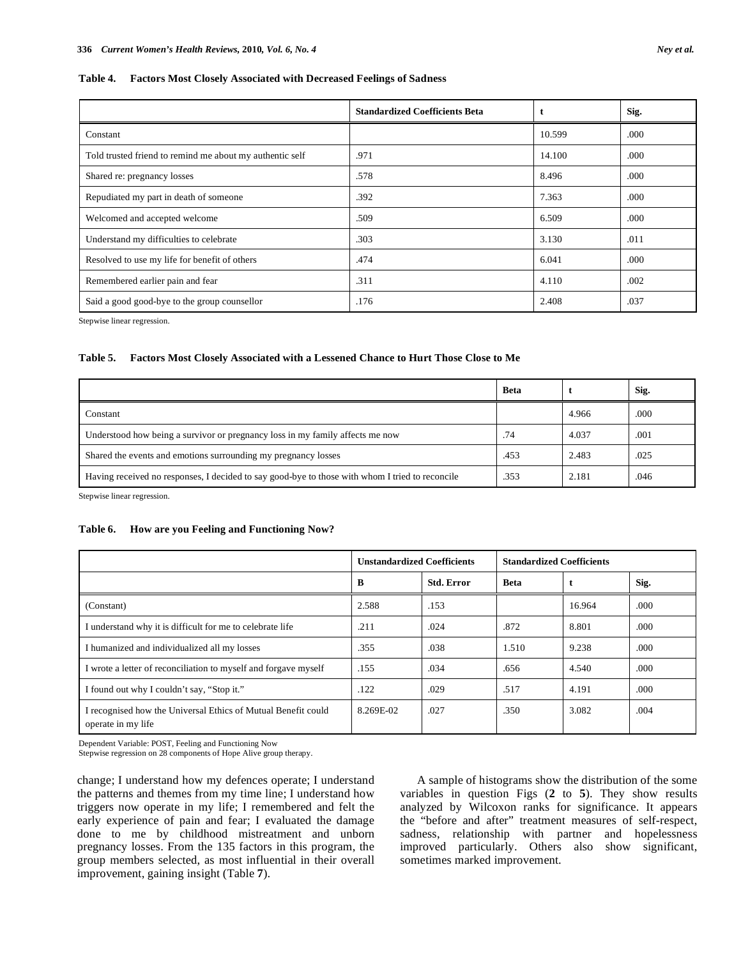#### **Table 4. Factors Most Closely Associated with Decreased Feelings of Sadness**

|                                                          | <b>Standardized Coefficients Beta</b> |        | Sig. |
|----------------------------------------------------------|---------------------------------------|--------|------|
| Constant                                                 |                                       | 10.599 | .000 |
| Told trusted friend to remind me about my authentic self | .971                                  | 14.100 | .000 |
| Shared re: pregnancy losses                              | .578                                  | 8.496  | .000 |
| Repudiated my part in death of someone                   | .392                                  | 7.363  | .000 |
| Welcomed and accepted welcome                            | .509                                  | 6.509  | .000 |
| Understand my difficulties to celebrate                  | .303                                  | 3.130  | .011 |
| Resolved to use my life for benefit of others            | .474                                  | 6.041  | .000 |
| Remembered earlier pain and fear                         | .311                                  | 4.110  | .002 |
| Said a good good-bye to the group counsellor             | .176                                  | 2.408  | .037 |

Stepwise linear regression.

## **Table 5. Factors Most Closely Associated with a Lessened Chance to Hurt Those Close to Me**

|                                                                                                 | <b>Beta</b> |       | Sig. |
|-------------------------------------------------------------------------------------------------|-------------|-------|------|
| Constant                                                                                        |             | 4.966 | .000 |
| Understood how being a survivor or pregnancy loss in my family affects me now                   | .74         | 4.037 | .001 |
| Shared the events and emotions surrounding my pregnancy losses                                  | .453        | 2.483 | .025 |
| Having received no responses, I decided to say good-bye to those with whom I tried to reconcile | .353        | 2.181 | .046 |

Stepwise linear regression.

#### **Table 6. How are you Feeling and Functioning Now?**

|                                                                                     |           | <b>Unstandardized Coefficients</b><br><b>Standardized Coefficients</b> |             |        |      |
|-------------------------------------------------------------------------------------|-----------|------------------------------------------------------------------------|-------------|--------|------|
|                                                                                     | B         | <b>Std. Error</b>                                                      | <b>Beta</b> |        | Sig. |
| (Constant)                                                                          | 2.588     | .153                                                                   |             | 16.964 | .000 |
| I understand why it is difficult for me to celebrate life                           | .211      | .024                                                                   | .872        | 8.801  | .000 |
| I humanized and individualized all my losses                                        | .355      | .038                                                                   | 1.510       | 9.238  | .000 |
| I wrote a letter of reconciliation to myself and forgave myself                     | .155      | .034                                                                   | .656        | 4.540  | .000 |
| I found out why I couldn't say, "Stop it."                                          | .122      | .029                                                                   | .517        | 4.191  | .000 |
| I recognised how the Universal Ethics of Mutual Benefit could<br>operate in my life | 8.269E-02 | .027                                                                   | .350        | 3.082  | .004 |

Dependent Variable: POST, Feeling and Functioning Now

Stepwise regression on 28 components of Hope Alive group therapy.

change; I understand how my defences operate; I understand the patterns and themes from my time line; I understand how triggers now operate in my life; I remembered and felt the early experience of pain and fear; I evaluated the damage done to me by childhood mistreatment and unborn pregnancy losses. From the 135 factors in this program, the group members selected, as most influential in their overall improvement, gaining insight (Table **7**).

 A sample of histograms show the distribution of the some variables in question Figs (**2** to **5**). They show results analyzed by Wilcoxon ranks for significance. It appears the "before and after" treatment measures of self-respect, sadness, relationship with partner and hopelessness improved particularly. Others also show significant, sometimes marked improvement.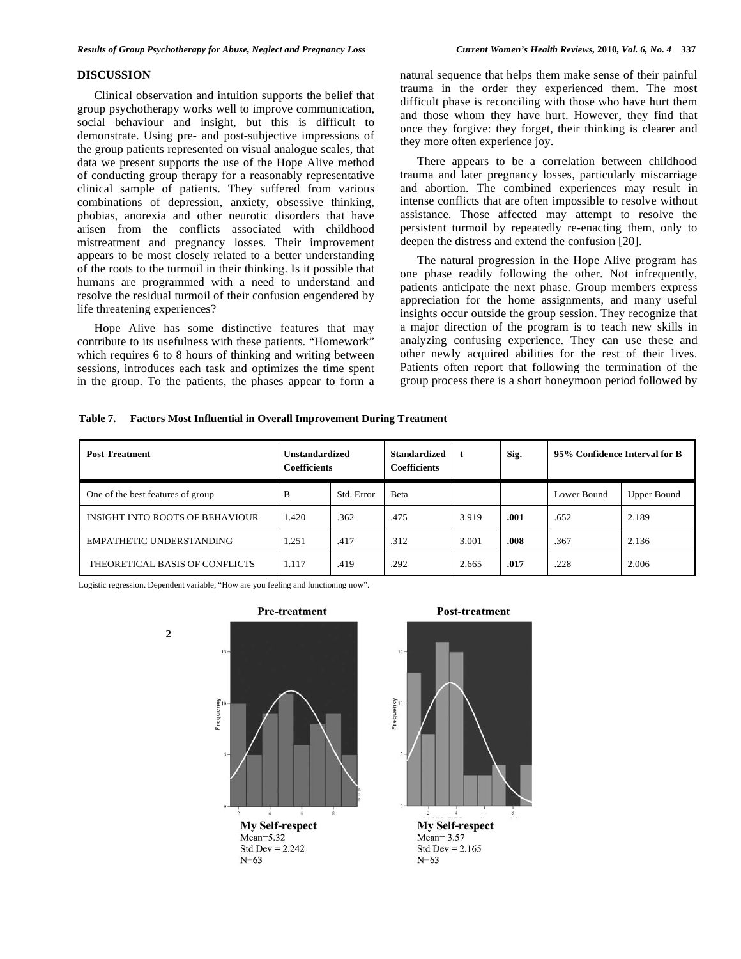# **DISCUSSION**

 Clinical observation and intuition supports the belief that group psychotherapy works well to improve communication, social behaviour and insight, but this is difficult to demonstrate. Using pre- and post-subjective impressions of the group patients represented on visual analogue scales, that data we present supports the use of the Hope Alive method of conducting group therapy for a reasonably representative clinical sample of patients. They suffered from various combinations of depression, anxiety, obsessive thinking, phobias, anorexia and other neurotic disorders that have arisen from the conflicts associated with childhood mistreatment and pregnancy losses. Their improvement appears to be most closely related to a better understanding of the roots to the turmoil in their thinking. Is it possible that humans are programmed with a need to understand and resolve the residual turmoil of their confusion engendered by life threatening experiences?

 Hope Alive has some distinctive features that may contribute to its usefulness with these patients. "Homework" which requires 6 to 8 hours of thinking and writing between sessions, introduces each task and optimizes the time spent in the group. To the patients, the phases appear to form a natural sequence that helps them make sense of their painful trauma in the order they experienced them. The most difficult phase is reconciling with those who have hurt them and those whom they have hurt. However, they find that once they forgive: they forget, their thinking is clearer and they more often experience joy.

 There appears to be a correlation between childhood trauma and later pregnancy losses, particularly miscarriage and abortion. The combined experiences may result in intense conflicts that are often impossible to resolve without assistance. Those affected may attempt to resolve the persistent turmoil by repeatedly re-enacting them, only to deepen the distress and extend the confusion [20].

 The natural progression in the Hope Alive program has one phase readily following the other. Not infrequently, patients anticipate the next phase. Group members express appreciation for the home assignments, and many useful insights occur outside the group session. They recognize that a major direction of the program is to teach new skills in analyzing confusing experience. They can use these and other newly acquired abilities for the rest of their lives. Patients often report that following the termination of the group process there is a short honeymoon period followed by

| <b>Table 7.</b> |  | <b>Factors Most Influential in Overall Improvement During Treatment</b> |  |
|-----------------|--|-------------------------------------------------------------------------|--|
|                 |  |                                                                         |  |

| <b>Post Treatment</b>             | <b>Unstandardized</b><br><b>Coefficients</b> |            | <b>Standardized</b><br><b>Coefficients</b> | t     | Sig. | 95% Confidence Interval for B |                    |
|-----------------------------------|----------------------------------------------|------------|--------------------------------------------|-------|------|-------------------------------|--------------------|
| One of the best features of group | B                                            | Std. Error | Beta                                       |       |      | Lower Bound                   | <b>Upper Bound</b> |
| INSIGHT INTO ROOTS OF BEHAVIOUR   | 1.420                                        | .362       | .475                                       | 3.919 | .001 | .652                          | 2.189              |
| <b>EMPATHETIC UNDERSTANDING</b>   | 1.251                                        | .417       | .312                                       | 3.001 | .008 | .367                          | 2.136              |
| THEORETICAL BASIS OF CONFLICTS    | 1.117                                        | .419       | .292                                       | 2.665 | .017 | .228                          | 2.006              |

Logistic regression. Dependent variable, "How are you feeling and functioning now".

**2** 





**Post-treatment** 



**My Self-respect**  $Mean = 3.57$ Std Dev =  $2.165$  $N = 63$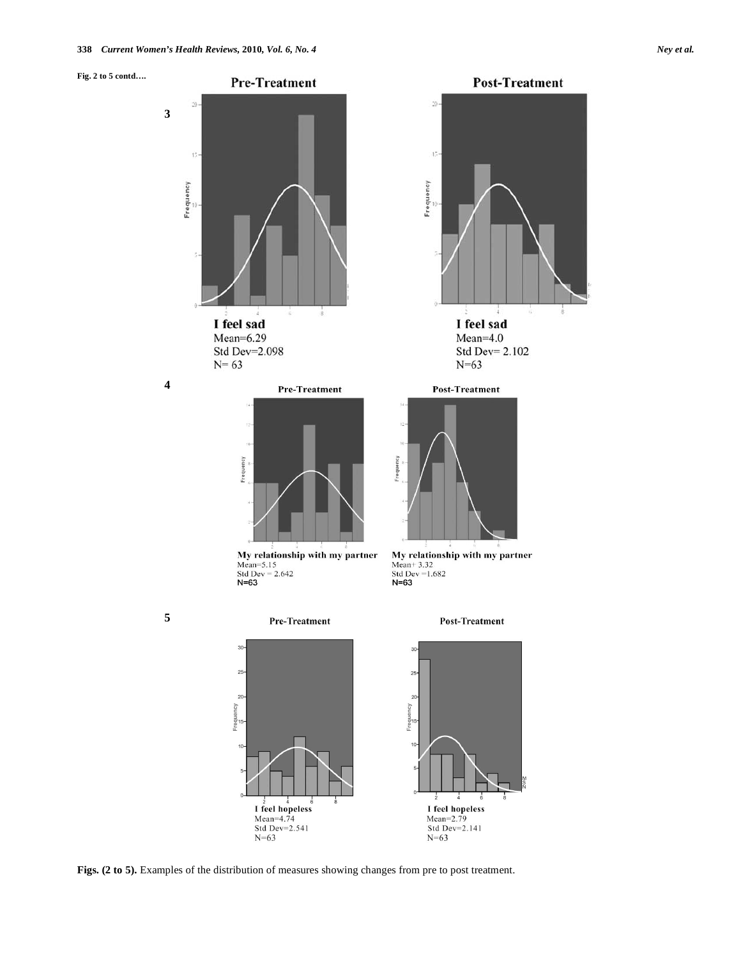





My relationship with my partner Mean=5.15<br>Std Dev = 2.642<br>N=63



**Post-Treatment** 



My relationship with my partner Mean+3.32<br>Std Dev=1.682<br>N=63

 **5**







**Figs. (2 to 5).** Examples of the distribution of measures showing changes from pre to post treatment.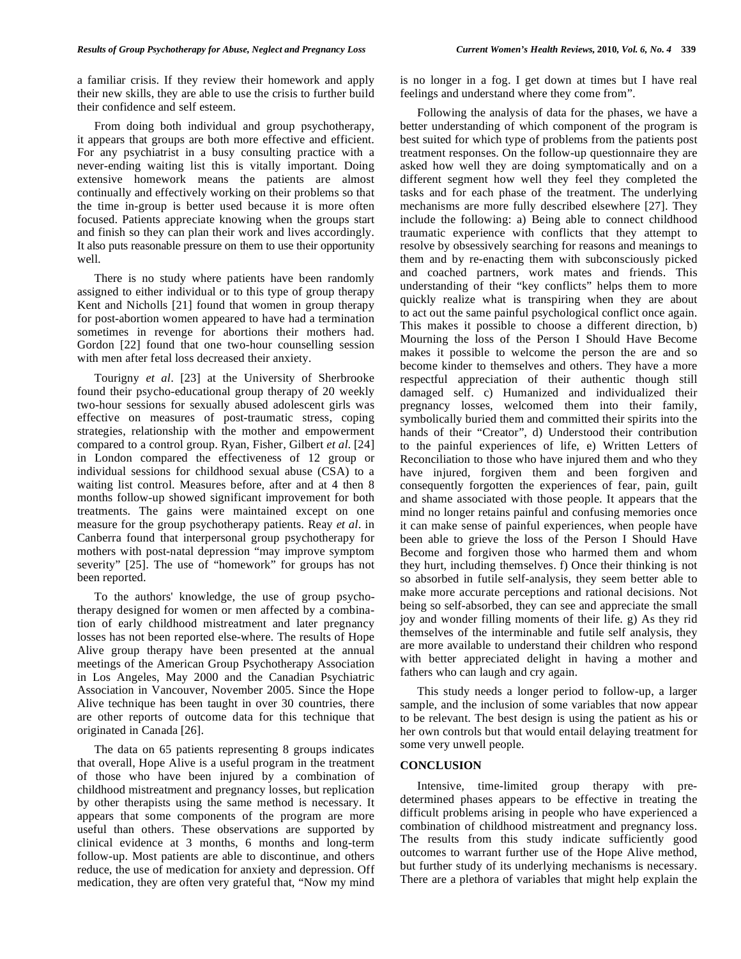a familiar crisis. If they review their homework and apply their new skills, they are able to use the crisis to further build their confidence and self esteem.

 From doing both individual and group psychotherapy, it appears that groups are both more effective and efficient. For any psychiatrist in a busy consulting practice with a never-ending waiting list this is vitally important. Doing extensive homework means the patients are almost continually and effectively working on their problems so that the time in-group is better used because it is more often focused. Patients appreciate knowing when the groups start and finish so they can plan their work and lives accordingly. It also puts reasonable pressure on them to use their opportunity well.

 There is no study where patients have been randomly assigned to either individual or to this type of group therapy Kent and Nicholls [21] found that women in group therapy for post-abortion women appeared to have had a termination sometimes in revenge for abortions their mothers had. Gordon [22] found that one two-hour counselling session with men after fetal loss decreased their anxiety.

 Tourigny *et al*. [23] at the University of Sherbrooke found their psycho-educational group therapy of 20 weekly two-hour sessions for sexually abused adolescent girls was effective on measures of post-traumatic stress, coping strategies, relationship with the mother and empowerment compared to a control group. Ryan, Fisher, Gilbert *et al*. [24] in London compared the effectiveness of 12 group or individual sessions for childhood sexual abuse (CSA) to a waiting list control. Measures before, after and at 4 then 8 months follow-up showed significant improvement for both treatments. The gains were maintained except on one measure for the group psychotherapy patients. Reay *et al*. in Canberra found that interpersonal group psychotherapy for mothers with post-natal depression "may improve symptom severity" [25]. The use of "homework" for groups has not been reported.

 To the authors' knowledge, the use of group psychotherapy designed for women or men affected by a combination of early childhood mistreatment and later pregnancy losses has not been reported else-where. The results of Hope Alive group therapy have been presented at the annual meetings of the American Group Psychotherapy Association in Los Angeles, May 2000 and the Canadian Psychiatric Association in Vancouver, November 2005. Since the Hope Alive technique has been taught in over 30 countries, there are other reports of outcome data for this technique that originated in Canada [26].

 The data on 65 patients representing 8 groups indicates that overall, Hope Alive is a useful program in the treatment of those who have been injured by a combination of childhood mistreatment and pregnancy losses, but replication by other therapists using the same method is necessary. It appears that some components of the program are more useful than others. These observations are supported by clinical evidence at 3 months, 6 months and long-term follow-up. Most patients are able to discontinue, and others reduce, the use of medication for anxiety and depression. Off medication, they are often very grateful that, "Now my mind

is no longer in a fog. I get down at times but I have real feelings and understand where they come from".

 Following the analysis of data for the phases, we have a better understanding of which component of the program is best suited for which type of problems from the patients post treatment responses. On the follow-up questionnaire they are asked how well they are doing symptomatically and on a different segment how well they feel they completed the tasks and for each phase of the treatment. The underlying mechanisms are more fully described elsewhere [27]. They include the following: a) Being able to connect childhood traumatic experience with conflicts that they attempt to resolve by obsessively searching for reasons and meanings to them and by re-enacting them with subconsciously picked and coached partners, work mates and friends. This understanding of their "key conflicts" helps them to more quickly realize what is transpiring when they are about to act out the same painful psychological conflict once again. This makes it possible to choose a different direction, b) Mourning the loss of the Person I Should Have Become makes it possible to welcome the person the are and so become kinder to themselves and others. They have a more respectful appreciation of their authentic though still damaged self. c) Humanized and individualized their pregnancy losses, welcomed them into their family, symbolically buried them and committed their spirits into the hands of their "Creator", d) Understood their contribution to the painful experiences of life, e) Written Letters of Reconciliation to those who have injured them and who they have injured, forgiven them and been forgiven and consequently forgotten the experiences of fear, pain, guilt and shame associated with those people. It appears that the mind no longer retains painful and confusing memories once it can make sense of painful experiences, when people have been able to grieve the loss of the Person I Should Have Become and forgiven those who harmed them and whom they hurt, including themselves. f) Once their thinking is not so absorbed in futile self-analysis, they seem better able to make more accurate perceptions and rational decisions. Not being so self-absorbed, they can see and appreciate the small joy and wonder filling moments of their life. g) As they rid themselves of the interminable and futile self analysis, they are more available to understand their children who respond with better appreciated delight in having a mother and fathers who can laugh and cry again.

 This study needs a longer period to follow-up, a larger sample, and the inclusion of some variables that now appear to be relevant. The best design is using the patient as his or her own controls but that would entail delaying treatment for some very unwell people.

## **CONCLUSION**

 Intensive, time-limited group therapy with predetermined phases appears to be effective in treating the difficult problems arising in people who have experienced a combination of childhood mistreatment and pregnancy loss. The results from this study indicate sufficiently good outcomes to warrant further use of the Hope Alive method, but further study of its underlying mechanisms is necessary. There are a plethora of variables that might help explain the